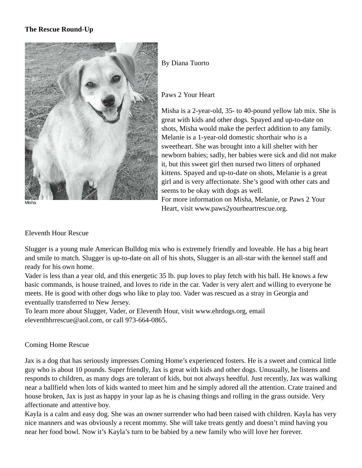# **The Rescue Round-Up**



Misha

## By Diana Tuorto

#### Paws 2 Your Heart

Misha is a 2-year-old, 35- to 40-pound yellow lab mix. She is great with kids and other dogs. Spayed and up-to-date on shots, Misha would make the perfect addition to any family. Melanie is a 1-year-old domestic shorthair who is a sweetheart. She was brought into a kill shelter with her newborn babies; sadly, her babies were sick and did not make it, but this sweet girl then nursed two litters of orphaned kittens. Spayed and up-to-date on shots, Melanie is a great girl and is very affectionate. She's good with other cats and seems to be okay with dogs as well.

For more information on Misha, Melanie, or Paws 2 Your Heart, visit www.paws2yourheartrescue.org.

#### Eleventh Hour Rescue

Slugger is a young male American Bulldog mix who is extremely friendly and loveable. He has a big heart and smile to match. Slugger is up-to-date on all of his shots, Slugger is an all-star with the kennel staff and ready for his own home.

Vader is less than a year old, and this energetic 35 lb. pup loves to play fetch with his ball. He knows a few basic commands, is house trained, and loves to ride in the car. Vader is very alert and willing to everyone he meets. He is good with other dogs who like to play too. Vader was rescued as a stray in Georgia and eventually transferred to New Jersey.

To learn more about Slugger, Vader, or Eleventh Hour, visit www.ehrdogs.org, email eleventhhrrescue@aol.com, or call 973-664-0865.

### Coming Home Rescue

Jax is a dog that has seriously impresses Coming Home's experienced fosters. He is a sweet and comical little guy who is about 10 pounds. Super friendly, Jax is great with kids and other dogs. Unusually, he listens and responds to children, as many dogs are tolerant of kids, but not always heedful. Just recently, Jax was walking near a ballfield when lots of kids wanted to meet him and he simply adored all the attention. Crate trained and house broken, Jax is just as happy in your lap as he is chasing things and rolling in the grass outside. Very affectionate and attentive boy.

Kayla is a calm and easy dog. She was an owner surrender who had been raised with children. Kayla has very nice manners and was obviously a recent mommy. She will take treats gently and doesn't mind having you near her food bowl. Now it's Kayla's turn to be babied by a new family who will love her forever.